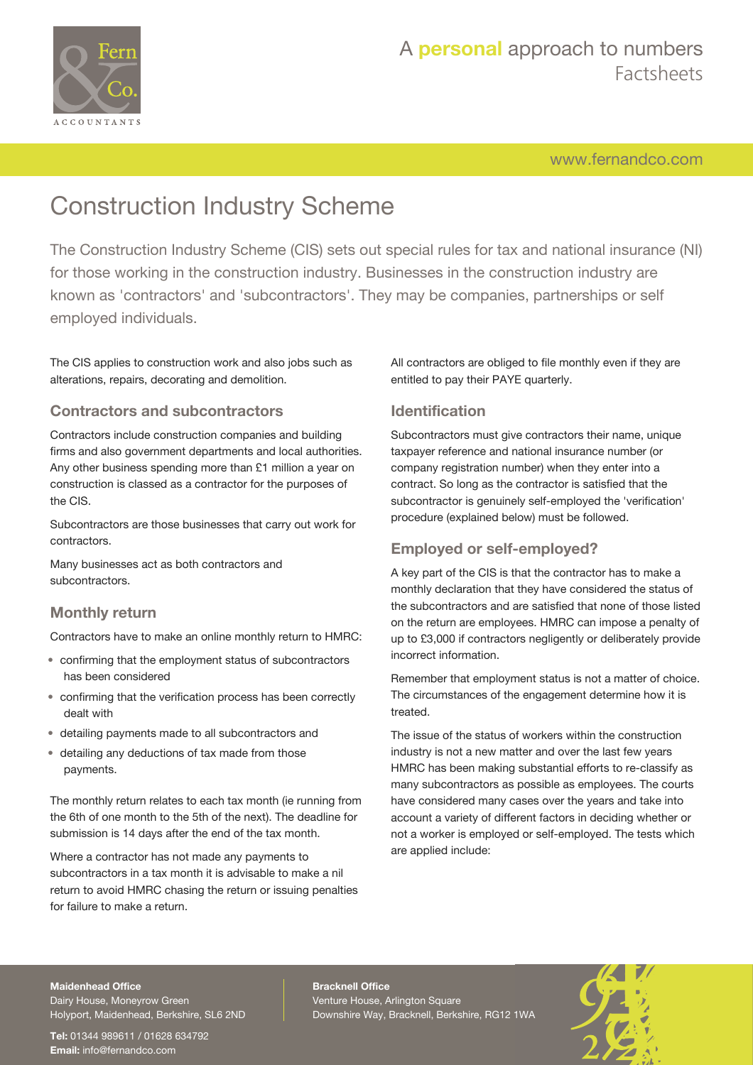

[www.fernandco.com](http://www.fernandco.com)

# Construction Industry Scheme

The Construction Industry Scheme (CIS) sets out special rules for tax and national insurance (NI) for those working in the construction industry. Businesses in the construction industry are known as 'contractors' and 'subcontractors'. They may be companies, partnerships or self employed individuals.

The CIS applies to construction work and also jobs such as alterations, repairs, decorating and demolition.

#### **Contractors and subcontractors**

Contractors include construction companies and building firms and also government departments and local authorities. Any other business spending more than £1 million a year on construction is classed as a contractor for the purposes of the CIS.

Subcontractors are those businesses that carry out work for contractors.

Many businesses act as both contractors and subcontractors.

#### **Monthly return**

Contractors have to make an online monthly return to HMRC:

- confirming that the employment status of subcontractors has been considered
- confirming that the verification process has been correctly dealt with
- detailing payments made to all subcontractors and
- detailing any deductions of tax made from those payments.

The monthly return relates to each tax month (ie running from the 6th of one month to the 5th of the next). The deadline for submission is 14 days after the end of the tax month.

Where a contractor has not made any payments to subcontractors in a tax month it is advisable to make a nil return to avoid HMRC chasing the return or issuing penalties for failure to make a return.

All contractors are obliged to file monthly even if they are entitled to pay their PAYE quarterly.

### **Identification**

Subcontractors must give contractors their name, unique taxpayer reference and national insurance number (or company registration number) when they enter into a contract. So long as the contractor is satisfied that the subcontractor is genuinely self-employed the 'verification' procedure (explained below) must be followed.

#### **Employed or self-employed?**

A key part of the CIS is that the contractor has to make a monthly declaration that they have considered the status of the subcontractors and are satisfied that none of those listed on the return are employees. HMRC can impose a penalty of up to £3,000 if contractors negligently or deliberately provide incorrect information.

Remember that employment status is not a matter of choice. The circumstances of the engagement determine how it is treated.

The issue of the status of workers within the construction industry is not a new matter and over the last few years HMRC has been making substantial efforts to re-classify as many subcontractors as possible as employees. The courts have considered many cases over the years and take into account a variety of different factors in deciding whether or not a worker is employed or self-employed. The tests which are applied include:

#### **Maidenhead Office**

Dairy House, Moneyrow Green Holyport, Maidenhead, Berkshire, SL6 2ND

**Tel:** 01344 989611 / 01628 634792 **Email:** [info@fernandco.com](mailto:info@fernandco.com)

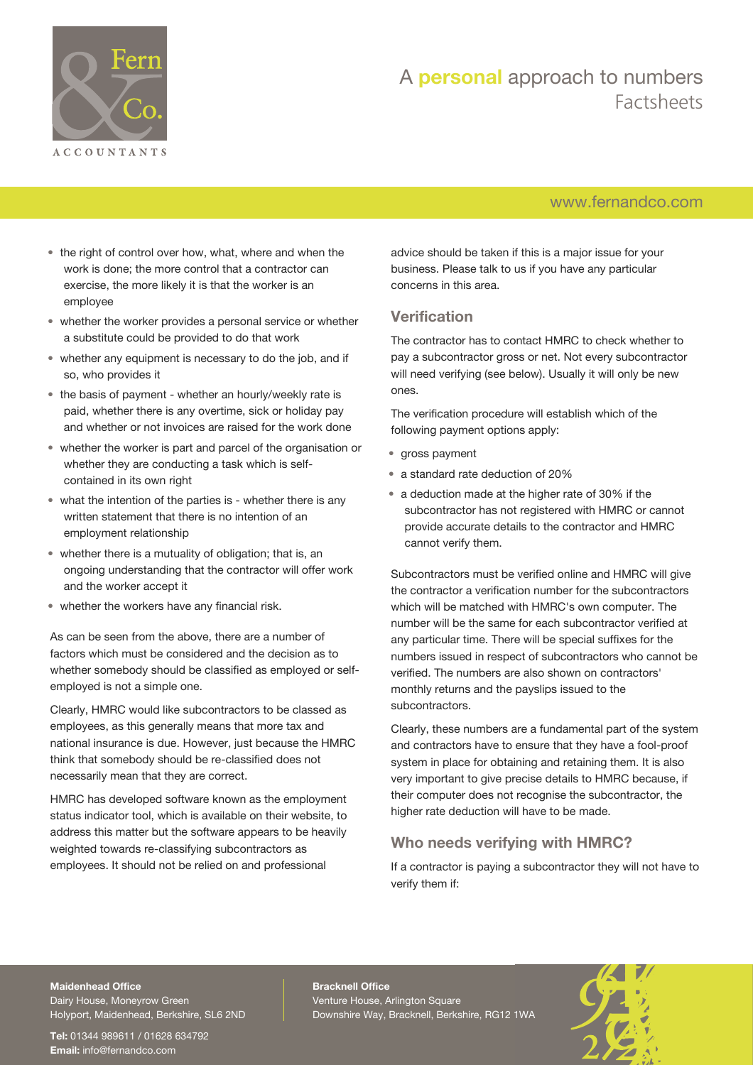

### [www.fernandco.com](http://www.fernandco.com)

- the right of control over how, what, where and when the work is done; the more control that a contractor can exercise, the more likely it is that the worker is an employee
- whether the worker provides a personal service or whether a substitute could be provided to do that work
- whether any equipment is necessary to do the job, and if so, who provides it
- the basis of payment whether an hourly/weekly rate is paid, whether there is any overtime, sick or holiday pay and whether or not invoices are raised for the work done
- whether the worker is part and parcel of the organisation or whether they are conducting a task which is selfcontained in its own right
- what the intention of the parties is whether there is any written statement that there is no intention of an employment relationship
- whether there is a mutuality of obligation; that is, an ongoing understanding that the contractor will offer work and the worker accept it
- whether the workers have any financial risk.

As can be seen from the above, there are a number of factors which must be considered and the decision as to whether somebody should be classified as employed or selfemployed is not a simple one.

Clearly, HMRC would like subcontractors to be classed as employees, as this generally means that more tax and national insurance is due. However, just because the HMRC think that somebody should be re-classified does not necessarily mean that they are correct.

HMRC has developed software known as the employment status indicator tool, which is available on their website, to address this matter but the software appears to be heavily weighted towards re-classifying subcontractors as employees. It should not be relied on and professional

advice should be taken if this is a major issue for your business. Please talk to us if you have any particular concerns in this area.

#### **Verification**

The contractor has to contact HMRC to check whether to pay a subcontractor gross or net. Not every subcontractor will need verifying (see below). Usually it will only be new ones.

The verification procedure will establish which of the following payment options apply:

- gross payment
- a standard rate deduction of 20%
- a deduction made at the higher rate of 30% if the subcontractor has not registered with HMRC or cannot provide accurate details to the contractor and HMRC cannot verify them.

Subcontractors must be verified online and HMRC will give the contractor a verification number for the subcontractors which will be matched with HMRC's own computer. The number will be the same for each subcontractor verified at any particular time. There will be special suffixes for the numbers issued in respect of subcontractors who cannot be verified. The numbers are also shown on contractors' monthly returns and the payslips issued to the subcontractors.

Clearly, these numbers are a fundamental part of the system and contractors have to ensure that they have a fool-proof system in place for obtaining and retaining them. It is also very important to give precise details to HMRC because, if their computer does not recognise the subcontractor, the higher rate deduction will have to be made.

### **Who needs verifying with HMRC?**

If a contractor is paying a subcontractor they will not have to verify them if:

#### **Maidenhead Office**

Dairy House, Moneyrow Green Holyport, Maidenhead, Berkshire, SL6 2ND

**Tel:** 01344 989611 / 01628 634792 **Email:** [info@fernandco.com](mailto:info@fernandco.com)

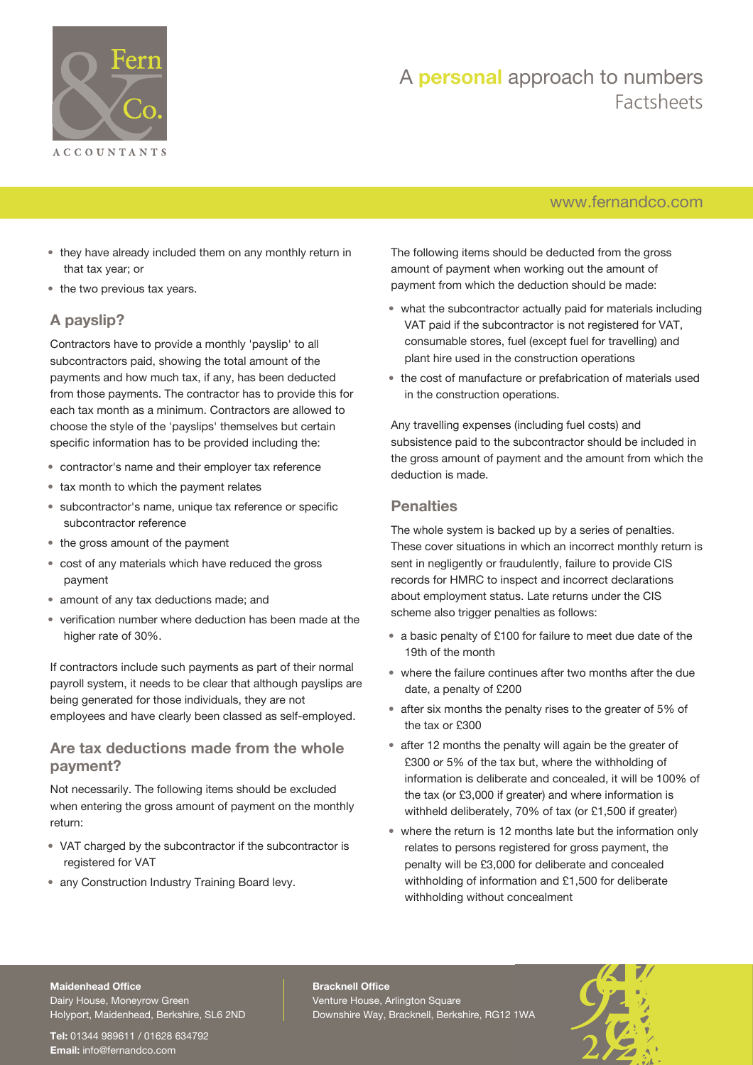

## [www.fernandco.com](http://www.fernandco.com)

- they have already included them on any monthly return in that tax year; or
- the two previous tax years.

### **A payslip?**

Contractors have to provide a monthly 'payslip' to all subcontractors paid, showing the total amount of the payments and how much tax, if any, has been deducted from those payments. The contractor has to provide this for each tax month as a minimum. Contractors are allowed to choose the style of the 'payslips' themselves but certain specific information has to be provided including the:

- contractor's name and their employer tax reference
- tax month to which the payment relates
- subcontractor's name, unique tax reference or specific subcontractor reference
- the gross amount of the payment
- cost of any materials which have reduced the gross payment
- amount of any tax deductions made; and
- verification number where deduction has been made at the higher rate of 30%.

If contractors include such payments as part of their normal payroll system, it needs to be clear that although payslips are being generated for those individuals, they are not employees and have clearly been classed as self-employed.

#### **Are tax deductions made from the whole payment?**

Not necessarily. The following items should be excluded when entering the gross amount of payment on the monthly return:

- VAT charged by the subcontractor if the subcontractor is registered for VAT
- any Construction Industry Training Board levy.

The following items should be deducted from the gross amount of payment when working out the amount of payment from which the deduction should be made:

- what the subcontractor actually paid for materials including VAT paid if the subcontractor is not registered for VAT, consumable stores, fuel (except fuel for travelling) and plant hire used in the construction operations
- the cost of manufacture or prefabrication of materials used in the construction operations.

Any travelling expenses (including fuel costs) and subsistence paid to the subcontractor should be included in the gross amount of payment and the amount from which the deduction is made.

#### **Penalties**

The whole system is backed up by a series of penalties. These cover situations in which an incorrect monthly return is sent in negligently or fraudulently, failure to provide CIS records for HMRC to inspect and incorrect declarations about employment status. Late returns under the CIS scheme also trigger penalties as follows:

- a basic penalty of £100 for failure to meet due date of the 19th of the month
- where the failure continues after two months after the due date, a penalty of £200
- after six months the penalty rises to the greater of 5% of the tax or £300
- after 12 months the penalty will again be the greater of £300 or 5% of the tax but, where the withholding of information is deliberate and concealed, it will be 100% of the tax (or £3,000 if greater) and where information is withheld deliberately, 70% of tax (or £1,500 if greater)
- where the return is 12 months late but the information only relates to persons registered for gross payment, the penalty will be £3,000 for deliberate and concealed withholding of information and £1,500 for deliberate withholding without concealment

#### **Maidenhead Office**

Dairy House, Moneyrow Green Holyport, Maidenhead, Berkshire, SL6 2ND

**Tel:** 01344 989611 / 01628 634792 **Email:** [info@fernandco.com](mailto:info@fernandco.com)